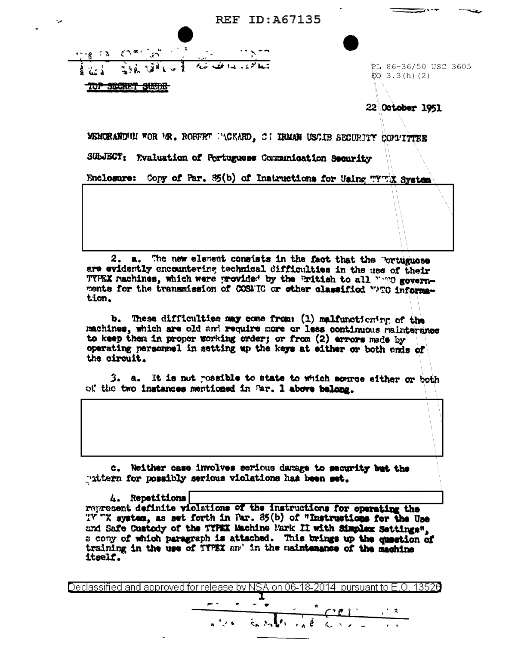**REF ID: A67135** 

|  | $\mathcal{L}^{(m_1,m_2)}$ , $\mathcal{L}^{(m_1,m_2)}$ | $\sim$ | <b>MAC</b> |                                 |
|--|-------------------------------------------------------|--------|------------|---------------------------------|
|  | <b>WA SHOPLAT</b>                                     |        |            | يتبعا المروار وبداريخها المنكار |
|  | ,,,,,,,                                               |        |            |                                 |

PL 86-36/50 USC 3605  $EQ$  3.3(h)(2)

22 October 1951

MEMORANDINI FOR 'AR. ROEFET ''(CKARD, C : IRMAN USCIB SECURITY COLLITER

SUbJECT: Evaluation of Portuguese Communication Security

Enclosure: Copy of Par. 85(b) of Instructions for Using TYTIX System

2. a. The new element consists in the fact that the Portuguese are evidently encountering technical difficulties in the use of their TYPEX machines, which were provided by the Pritish to all wone governments for the transmission of COSMIC or other classified WTO information.

b. These difficulties may come from: (1) malfunctioning of the machines, which are old and require more or less continuous mainterance to keep them in proper working order; or from (2) errors made by operating personnel in setting up the keys at either or both ends of the circuit.

3. a. It is not ressible to state to which source either or both of the two instances mentioned in Par. 1 above belong.

c. Neither case involves serious damage to security but the "uttern for possibly serious violations has been set.

4. Repetitions represent definite violations of the instructions for operating the TY TX system, as set forth in Par. 85(b) of "Instructions for the Use and Safe Custody of the TYPEX Machine Mark II with Simplex Settings". a cony of which paragraph is attached. This brings up the question of training in the use of TYPEX and in the maintenance of the machine itself.

Declassified and approved for release by NSA on 06-18-2014  $\,$  pursuant to E.O. 13526

 $x^2 + 3x - 5x^3 - 1$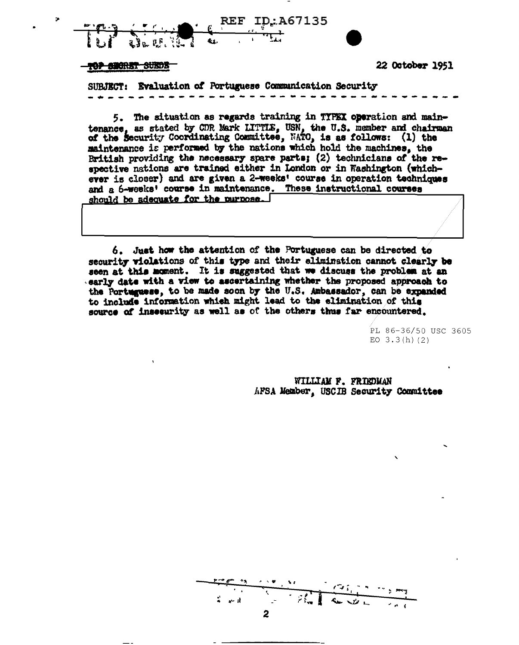

## TOP SHORET SUEDE

**22 October 1951** 

SUBJECT: Evaluation of Portuguese Communication Security

5. The situation as regards training in TYPEX operation and maintenance, as stated by CDR Mark LITTLE, USN, the U.S. member and chairman of the Security Coordinating Committee, NATO, is as follows: (1) the maintenance is performed by the nations which hold the machines, the British providing the necessary spare parts; (2) technicians of the respective nations are trained either in London or in Washington (whichever is closer) and are given a 2-weeks' course in operation techniques and a 6-weeks' course in maintenance. These instructional courses should be adequate for the nurnose.

6. Just how the attention of the Portuguese can be directed to security violations of this type and their elimination cannot clearly be seen at this moment. It is suggested that we discuss the problem at an early date with a view to ascertaining whether the proposed approach to the Portuguese, to be made soon by the U.S. Ambassador, can be expanded to include information which might lead to the elimination of this source of insecurity as well as of the others thus far encountered.

> PL 86-36/50 USC 3605 EO  $3.3(h)(2)$

WILLIAM F. FRIEDMAN AFSA Member, USCIB Security Committee

أالبها 2